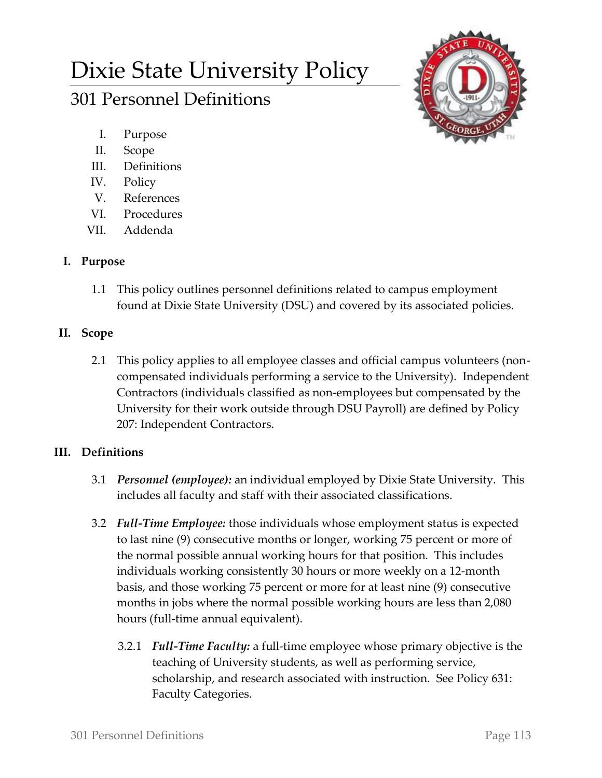# Dixie State University Policy

## 301 Personnel Definitions

- I. Purpose
- II. Scope
- III. Definitions
- IV. Policy
- V. References
- VI. Procedures
- VII. Addenda

## **I. Purpose**

1.1 This policy outlines personnel definitions related to campus employment found at Dixie State University (DSU) and covered by its associated policies.

## **II. Scope**

2.1 This policy applies to all employee classes and official campus volunteers (noncompensated individuals performing a service to the University). Independent Contractors (individuals classified as non-employees but compensated by the University for their work outside through DSU Payroll) are defined by Policy 207: Independent Contractors.

## **III. Definitions**

- 3.1 *Personnel (employee):* an individual employed by Dixie State University. This includes all faculty and staff with their associated classifications.
- 3.2 *Full-Time Employee:* those individuals whose employment status is expected to last nine (9) consecutive months or longer, working 75 percent or more of the normal possible annual working hours for that position. This includes individuals working consistently 30 hours or more weekly on a 12-month basis, and those working 75 percent or more for at least nine (9) consecutive months in jobs where the normal possible working hours are less than 2,080 hours (full-time annual equivalent).
	- 3.2.1 *Full-Time Faculty:* a full-time employee whose primary objective is the teaching of University students, as well as performing service, scholarship, and research associated with instruction. See Policy 631: Faculty Categories.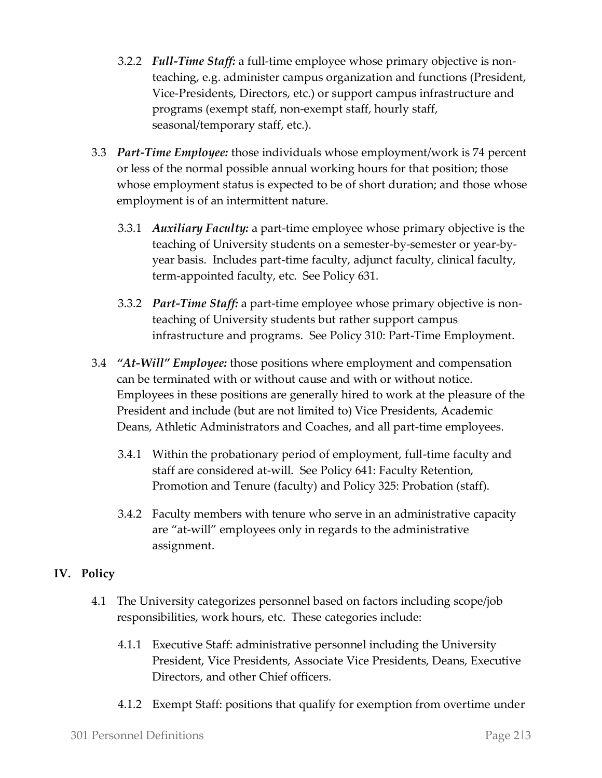- 3.2.2 *Full-Time Staff:* a full-time employee whose primary objective is nonteaching, e.g. administer campus organization and functions (President, Vice-Presidents, Directors, etc.) or support campus infrastructure and programs (exempt staff, non-exempt staff, hourly staff, seasonal/temporary staff, etc.).
- 3.3 *Part-Time Employee:* those individuals whose employment/work is 74 percent or less of the normal possible annual working hours for that position; those whose employment status is expected to be of short duration; and those whose employment is of an intermittent nature.
	- 3.3.1 *Auxiliary Faculty:* a part-time employee whose primary objective is the teaching of University students on a semester-by-semester or year-byyear basis. Includes part-time faculty, adjunct faculty, clinical faculty, term-appointed faculty, etc. See Policy 631.
	- 3.3.2 *Part-Time Staff:* a part-time employee whose primary objective is nonteaching of University students but rather support campus infrastructure and programs. See Policy 310: Part-Time Employment.
- 3.4 *"At-Will" Employee:* those positions where employment and compensation can be terminated with or without cause and with or without notice. Employees in these positions are generally hired to work at the pleasure of the President and include (but are not limited to) Vice Presidents, Academic Deans, Athletic Administrators and Coaches, and all part-time employees.
	- 3.4.1 Within the probationary period of employment, full-time faculty and staff are considered at-will. See Policy 641: Faculty Retention, Promotion and Tenure (faculty) and Policy 325: Probation (staff).
	- 3.4.2 Faculty members with tenure who serve in an administrative capacity are "at-will" employees only in regards to the administrative assignment.

### **IV. Policy**

- 4.1 The University categorizes personnel based on factors including scope/job responsibilities, work hours, etc. These categories include:
	- 4.1.1 Executive Staff: administrative personnel including the University President, Vice Presidents, Associate Vice Presidents, Deans, Executive Directors, and other Chief officers.
	- 4.1.2 Exempt Staff: positions that qualify for exemption from overtime under